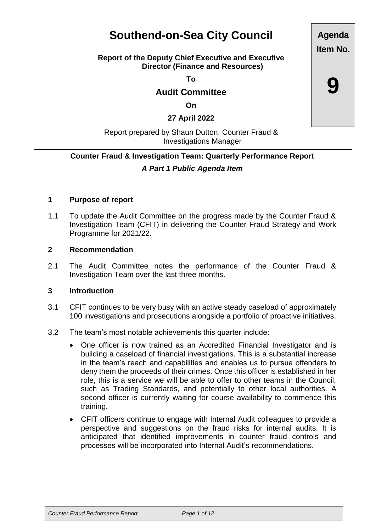# **Southend-on-Sea City Council**

#### **Report of the Deputy Chief Executive and Executive Director (Finance and Resources)**

**To**

# **Audit Committee**

**On**

**27 April 2022**

## Report prepared by Shaun Dutton, Counter Fraud & Investigations Manager

# **Counter Fraud & Investigation Team: Quarterly Performance Report** *A Part 1 Public Agenda Item*

#### **1 Purpose of report**

1.1 To update the Audit Committee on the progress made by the Counter Fraud & Investigation Team (CFIT) in delivering the Counter Fraud Strategy and Work Programme for 2021/22.

#### **2 Recommendation**

2.1 The Audit Committee notes the performance of the Counter Fraud & Investigation Team over the last three months.

#### **3 Introduction**

- 3.1 CFIT continues to be very busy with an active steady caseload of approximately 100 investigations and prosecutions alongside a portfolio of proactive initiatives.
- 3.2 The team's most notable achievements this quarter include:
	- One officer is now trained as an Accredited Financial Investigator and is building a caseload of financial investigations. This is a substantial increase in the team's reach and capabilities and enables us to pursue offenders to deny them the proceeds of their crimes. Once this officer is established in her role, this is a service we will be able to offer to other teams in the Council, such as Trading Standards, and potentially to other local authorities. A second officer is currently waiting for course availability to commence this training.
	- CFIT officers continue to engage with Internal Audit colleagues to provide a perspective and suggestions on the fraud risks for internal audits. It is anticipated that identified improvements in counter fraud controls and processes will be incorporated into Internal Audit's recommendations.

**Agenda Item No.**

**9**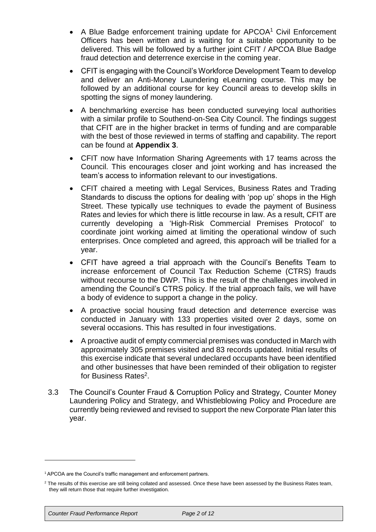- A Blue Badge enforcement training update for APCOA<sup>1</sup> Civil Enforcement Officers has been written and is waiting for a suitable opportunity to be delivered. This will be followed by a further joint CFIT / APCOA Blue Badge fraud detection and deterrence exercise in the coming year.
- CFIT is engaging with the Council's Workforce Development Team to develop and deliver an Anti-Money Laundering eLearning course. This may be followed by an additional course for key Council areas to develop skills in spotting the signs of money laundering.
- A benchmarking exercise has been conducted surveying local authorities with a similar profile to Southend-on-Sea City Council. The findings suggest that CFIT are in the higher bracket in terms of funding and are comparable with the best of those reviewed in terms of staffing and capability. The report can be found at **Appendix 3**.
- CFIT now have Information Sharing Agreements with 17 teams across the Council. This encourages closer and joint working and has increased the team's access to information relevant to our investigations.
- CFIT chaired a meeting with Legal Services, Business Rates and Trading Standards to discuss the options for dealing with 'pop up' shops in the High Street. These typically use techniques to evade the payment of Business Rates and levies for which there is little recourse in law. As a result, CFIT are currently developing a 'High-Risk Commercial Premises Protocol' to coordinate joint working aimed at limiting the operational window of such enterprises. Once completed and agreed, this approach will be trialled for a year.
- CFIT have agreed a trial approach with the Council's Benefits Team to increase enforcement of Council Tax Reduction Scheme (CTRS) frauds without recourse to the DWP. This is the result of the challenges involved in amending the Council's CTRS policy. If the trial approach fails, we will have a body of evidence to support a change in the policy.
- A proactive social housing fraud detection and deterrence exercise was conducted in January with 133 properties visited over 2 days, some on several occasions. This has resulted in four investigations.
- A proactive audit of empty commercial premises was conducted in March with approximately 305 premises visited and 83 records updated. Initial results of this exercise indicate that several undeclared occupants have been identified and other businesses that have been reminded of their obligation to register for Business Rates<sup>2</sup>.
- 3.3 The Council's Counter Fraud & Corruption Policy and Strategy, Counter Money Laundering Policy and Strategy, and Whistleblowing Policy and Procedure are currently being reviewed and revised to support the new Corporate Plan later this year.

<sup>&</sup>lt;sup>1</sup> APCOA are the Council's traffic management and enforcement partners.

<sup>&</sup>lt;sup>2</sup> The results of this exercise are still being collated and assessed. Once these have been assessed by the Business Rates team, they will return those that require further investigation.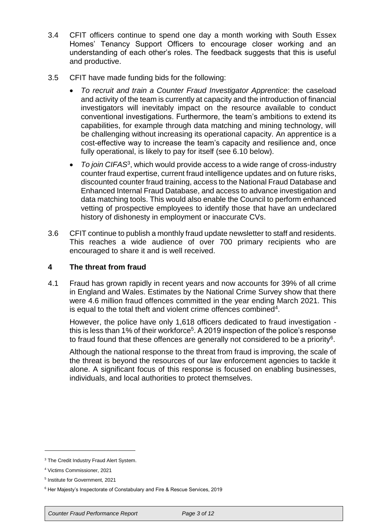- 3.4 CFIT officers continue to spend one day a month working with South Essex Homes' Tenancy Support Officers to encourage closer working and an understanding of each other's roles. The feedback suggests that this is useful and productive.
- 3.5 CFIT have made funding bids for the following:
	- *To recruit and train a Counter Fraud Investigator Apprentice*: the caseload and activity of the team is currently at capacity and the introduction of financial investigators will inevitably impact on the resource available to conduct conventional investigations. Furthermore, the team's ambitions to extend its capabilities, for example through data matching and mining technology, will be challenging without increasing its operational capacity. An apprentice is a cost-effective way to increase the team's capacity and resilience and, once fully operational, is likely to pay for itself (see 6.10 below).
	- *To join CIFAS*<sup>3</sup> , which would provide access to a wide range of cross-industry counter fraud expertise, current fraud intelligence updates and on future risks, discounted counter fraud training, access to the National Fraud Database and Enhanced Internal Fraud Database, and access to advance investigation and data matching tools. This would also enable the Council to perform enhanced vetting of prospective employees to identify those that have an undeclared history of dishonesty in employment or inaccurate CVs.
- 3.6 CFIT continue to publish a monthly fraud update newsletter to staff and residents. This reaches a wide audience of over 700 primary recipients who are encouraged to share it and is well received.

# **4 The threat from fraud**

4.1 Fraud has grown rapidly in recent years and now accounts for 39% of all crime in England and Wales. Estimates by the National Crime Survey show that there were 4.6 million fraud offences committed in the year ending March 2021. This is equal to the total theft and violent crime offences combined<sup>4</sup>.

However, the police have only 1,618 officers dedicated to fraud investigation this is less than 1% of their workforce<sup>5</sup>. A 2019 inspection of the police's response to fraud found that these offences are generally not considered to be a priority<sup>6</sup>.

Although the national response to the threat from fraud is improving, the scale of the threat is beyond the resources of our law enforcement agencies to tackle it alone. A significant focus of this response is focused on enabling businesses, individuals, and local authorities to protect themselves.

<sup>&</sup>lt;sup>3</sup> The Credit Industry Fraud Alert System.

<sup>4</sup> Victims Commissioner, 2021

<sup>5</sup> Institute for Government, 2021

<sup>6</sup> Her Majesty's Inspectorate of Constabulary and Fire & Rescue Services, 2019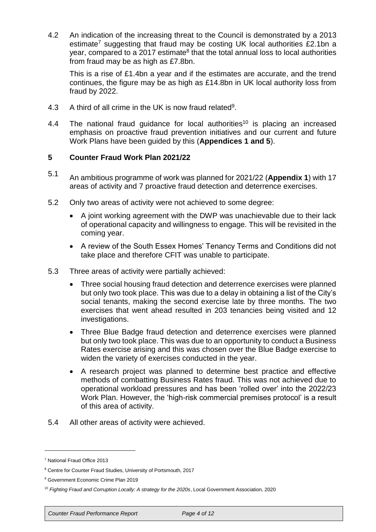4.2 An indication of the increasing threat to the Council is demonstrated by a 2013 estimate<sup>7</sup> suggesting that fraud may be costing UK local authorities £2.1bn a year, compared to a 2017 estimate<sup>8</sup> that the total annual loss to local authorities from fraud may be as high as £7.8bn.

This is a rise of £1.4bn a year and if the estimates are accurate, and the trend continues, the figure may be as high as £14.8bn in UK local authority loss from fraud by 2022.

- 4.3 A third of all crime in the UK is now fraud related<sup>9</sup>.
- 4.4 The national fraud quidance for local authorities<sup>10</sup> is placing an increased emphasis on proactive fraud prevention initiatives and our current and future Work Plans have been guided by this (**Appendices 1 and 5**).

#### **5 Counter Fraud Work Plan 2021/22**

- 5.1 An ambitious programme of work was planned for 2021/22 (**Appendix 1**) with 17 areas of activity and 7 proactive fraud detection and deterrence exercises.
- 5.2 Only two areas of activity were not achieved to some degree:
	- A joint working agreement with the DWP was unachievable due to their lack of operational capacity and willingness to engage. This will be revisited in the coming year.
	- A review of the South Essex Homes' Tenancy Terms and Conditions did not take place and therefore CFIT was unable to participate.
- 5.3 Three areas of activity were partially achieved:
	- Three social housing fraud detection and deterrence exercises were planned but only two took place. This was due to a delay in obtaining a list of the City's social tenants, making the second exercise late by three months. The two exercises that went ahead resulted in 203 tenancies being visited and 12 investigations.
	- Three Blue Badge fraud detection and deterrence exercises were planned but only two took place. This was due to an opportunity to conduct a Business Rates exercise arising and this was chosen over the Blue Badge exercise to widen the variety of exercises conducted in the year.
	- A research project was planned to determine best practice and effective methods of combatting Business Rates fraud. This was not achieved due to operational workload pressures and has been 'rolled over' into the 2022/23 Work Plan. However, the 'high-risk commercial premises protocol' is a result of this area of activity.
- 5.4 All other areas of activity were achieved.

<sup>7</sup> National Fraud Office 2013

<sup>8</sup> Centre for Counter Fraud Studies, University of Portsmouth, 2017

<sup>&</sup>lt;sup>9</sup> Government Economic Crime Plan 2019

<sup>10</sup> *Fighting Fraud and Corruption Locally: A strategy for the 2020s*, Local Government Association, 2020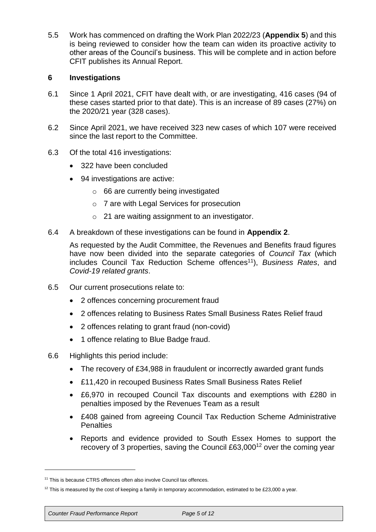5.5 Work has commenced on drafting the Work Plan 2022/23 (**Appendix 5**) and this is being reviewed to consider how the team can widen its proactive activity to other areas of the Council's business. This will be complete and in action before CFIT publishes its Annual Report.

## **6 Investigations**

- 6.1 Since 1 April 2021, CFIT have dealt with, or are investigating, 416 cases (94 of these cases started prior to that date). This is an increase of 89 cases (27%) on the 2020/21 year (328 cases).
- 6.2 Since April 2021, we have received 323 new cases of which 107 were received since the last report to the Committee.
- 6.3 Of the total 416 investigations:
	- 322 have been concluded
	- 94 investigations are active:
		- $\circ$  66 are currently being investigated
		- o 7 are with Legal Services for prosecution
		- o 21 are waiting assignment to an investigator.
- 6.4 A breakdown of these investigations can be found in **Appendix 2**.

As requested by the Audit Committee, the Revenues and Benefits fraud figures have now been divided into the separate categories of *Council Tax* (which includes Council Tax Reduction Scheme offences<sup>11</sup>), *Business Rates*, and *Covid-19 related grants*.

- 6.5 Our current prosecutions relate to:
	- 2 offences concerning procurement fraud
	- 2 offences relating to Business Rates Small Business Rates Relief fraud
	- 2 offences relating to grant fraud (non-covid)
	- 1 offence relating to Blue Badge fraud.
- 6.6 Highlights this period include:
	- The recovery of £34,988 in fraudulent or incorrectly awarded grant funds
	- £11,420 in recouped Business Rates Small Business Rates Relief
	- £6,970 in recouped Council Tax discounts and exemptions with £280 in penalties imposed by the Revenues Team as a result
	- £408 gained from agreeing Council Tax Reduction Scheme Administrative **Penalties**
	- Reports and evidence provided to South Essex Homes to support the recovery of 3 properties, saving the Council £63,000<sup>12</sup> over the coming year

<sup>&</sup>lt;sup>11</sup> This is because CTRS offences often also involve Council tax offences.

 $12$  This is measured by the cost of keeping a family in temporary accommodation, estimated to be £23,000 a year.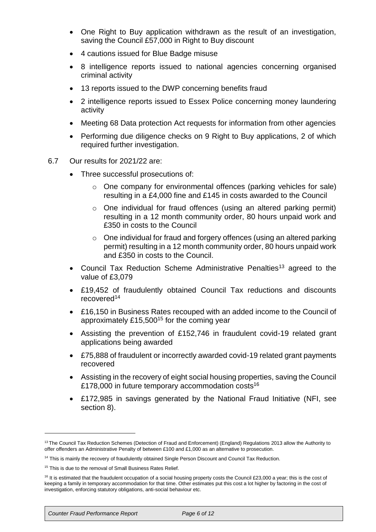- One Right to Buy application withdrawn as the result of an investigation, saving the Council £57,000 in Right to Buy discount
- 4 cautions issued for Blue Badge misuse
- 8 intelligence reports issued to national agencies concerning organised criminal activity
- 13 reports issued to the DWP concerning benefits fraud
- 2 intelligence reports issued to Essex Police concerning money laundering activity
- Meeting 68 Data protection Act requests for information from other agencies
- Performing due diligence checks on 9 Right to Buy applications, 2 of which required further investigation.
- 6.7 Our results for 2021/22 are:
	- Three successful prosecutions of:
		- o One company for environmental offences (parking vehicles for sale) resulting in a £4,000 fine and £145 in costs awarded to the Council
		- o One individual for fraud offences (using an altered parking permit) resulting in a 12 month community order, 80 hours unpaid work and £350 in costs to the Council
		- o One individual for fraud and forgery offences (using an altered parking permit) resulting in a 12 month community order, 80 hours unpaid work and £350 in costs to the Council.
	- Council Tax Reduction Scheme Administrative Penalties<sup>13</sup> agreed to the value of £3,079
	- £19,452 of fraudulently obtained Council Tax reductions and discounts recovered<sup>14</sup>
	- £16,150 in Business Rates recouped with an added income to the Council of approximately £15,500<sup>15</sup> for the coming year
	- Assisting the prevention of £152,746 in fraudulent covid-19 related grant applications being awarded
	- £75,888 of fraudulent or incorrectly awarded covid-19 related grant payments recovered
	- Assisting in the recovery of eight social housing properties, saving the Council £178,000 in future temporary accommodation costs<sup>16</sup>
	- £172,985 in savings generated by the National Fraud Initiative (NFI, see section 8).

<sup>&</sup>lt;sup>13</sup> The Council Tax Reduction Schemes (Detection of Fraud and Enforcement) (England) Regulations 2013 allow the Authority to offer offenders an Administrative Penalty of between £100 and £1,000 as an alternative to prosecution.

<sup>&</sup>lt;sup>14</sup> This is mainly the recovery of fraudulently obtained Single Person Discount and Council Tax Reduction.

<sup>&</sup>lt;sup>15</sup> This is due to the removal of Small Business Rates Relief.

<sup>&</sup>lt;sup>16</sup> It is estimated that the fraudulent occupation of a social housing property costs the Council £23,000 a year; this is the cost of keeping a family in temporary accommodation for that time. Other estimates put this cost a lot higher by factoring in the cost of investigation, enforcing statutory obligations, anti-social behaviour etc.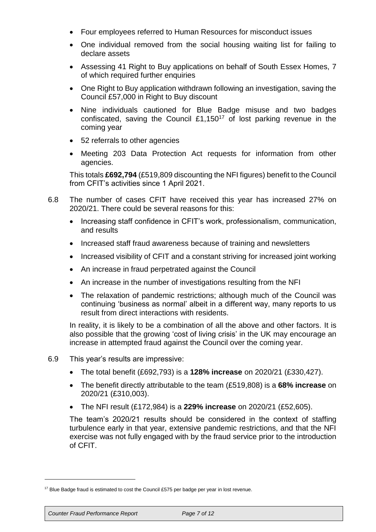- Four employees referred to Human Resources for misconduct issues
- One individual removed from the social housing waiting list for failing to declare assets
- Assessing 41 Right to Buy applications on behalf of South Essex Homes, 7 of which required further enquiries
- One Right to Buy application withdrawn following an investigation, saving the Council £57,000 in Right to Buy discount
- Nine individuals cautioned for Blue Badge misuse and two badges confiscated, saving the Council £1,150<sup>17</sup> of lost parking revenue in the coming year
- 52 referrals to other agencies
- Meeting 203 Data Protection Act requests for information from other agencies.

This totals **£692,794** (£519,809 discounting the NFI figures) benefit to the Council from CFIT's activities since 1 April 2021.

- 6.8 The number of cases CFIT have received this year has increased 27% on 2020/21. There could be several reasons for this:
	- Increasing staff confidence in CFIT's work, professionalism, communication, and results
	- Increased staff fraud awareness because of training and newsletters
	- Increased visibility of CFIT and a constant striving for increased joint working
	- An increase in fraud perpetrated against the Council
	- An increase in the number of investigations resulting from the NFI
	- The relaxation of pandemic restrictions; although much of the Council was continuing 'business as normal' albeit in a different way, many reports to us result from direct interactions with residents.

In reality, it is likely to be a combination of all the above and other factors. It is also possible that the growing 'cost of living crisis' in the UK may encourage an increase in attempted fraud against the Council over the coming year.

- 6.9 This year's results are impressive:
	- The total benefit (£692,793) is a **128% increase** on 2020/21 (£330,427).
	- The benefit directly attributable to the team (£519,808) is a **68% increase** on 2020/21 (£310,003).
	- The NFI result (£172,984) is a **229% increase** on 2020/21 (£52,605).

The team's 2020/21 results should be considered in the context of staffing turbulence early in that year, extensive pandemic restrictions, and that the NFI exercise was not fully engaged with by the fraud service prior to the introduction of CFIT.

*Counter Fraud Performance Report Page 7 of 12*

<sup>&</sup>lt;sup>17</sup> Blue Badge fraud is estimated to cost the Council £575 per badge per year in lost revenue.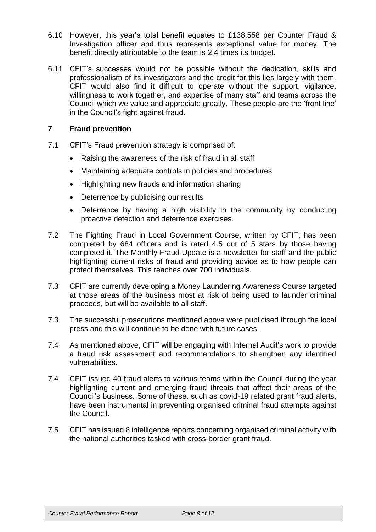- 6.10 However, this year's total benefit equates to £138,558 per Counter Fraud & Investigation officer and thus represents exceptional value for money. The benefit directly attributable to the team is 2.4 times its budget.
- 6.11 CFIT's successes would not be possible without the dedication, skills and professionalism of its investigators and the credit for this lies largely with them. CFIT would also find it difficult to operate without the support, vigilance, willingness to work together, and expertise of many staff and teams across the Council which we value and appreciate greatly. These people are the 'front line' in the Council's fight against fraud.

#### **7 Fraud prevention**

- 7.1 CFIT's Fraud prevention strategy is comprised of:
	- Raising the awareness of the risk of fraud in all staff
	- Maintaining adequate controls in policies and procedures
	- Highlighting new frauds and information sharing
	- Deterrence by publicising our results
	- Deterrence by having a high visibility in the community by conducting proactive detection and deterrence exercises.
- 7.2 The Fighting Fraud in Local Government Course, written by CFIT, has been completed by 684 officers and is rated 4.5 out of 5 stars by those having completed it. The Monthly Fraud Update is a newsletter for staff and the public highlighting current risks of fraud and providing advice as to how people can protect themselves. This reaches over 700 individuals.
- 7.3 CFIT are currently developing a Money Laundering Awareness Course targeted at those areas of the business most at risk of being used to launder criminal proceeds, but will be available to all staff.
- 7.3 The successful prosecutions mentioned above were publicised through the local press and this will continue to be done with future cases.
- 7.4 As mentioned above, CFIT will be engaging with Internal Audit's work to provide a fraud risk assessment and recommendations to strengthen any identified vulnerabilities.
- 7.4 CFIT issued 40 fraud alerts to various teams within the Council during the year highlighting current and emerging fraud threats that affect their areas of the Council's business. Some of these, such as covid-19 related grant fraud alerts, have been instrumental in preventing organised criminal fraud attempts against the Council.
- 7.5 CFIT has issued 8 intelligence reports concerning organised criminal activity with the national authorities tasked with cross-border grant fraud.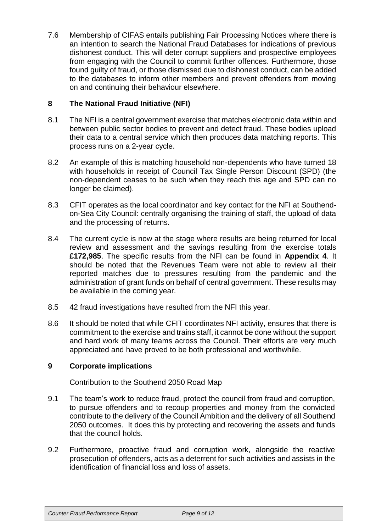7.6 Membership of CIFAS entails publishing Fair Processing Notices where there is an intention to search the National Fraud Databases for indications of previous dishonest conduct. This will deter corrupt suppliers and prospective employees from engaging with the Council to commit further offences. Furthermore, those found guilty of fraud, or those dismissed due to dishonest conduct, can be added to the databases to inform other members and prevent offenders from moving on and continuing their behaviour elsewhere.

# **8 The National Fraud Initiative (NFI)**

- 8.1 The NFI is a central government exercise that matches electronic data within and between public sector bodies to prevent and detect fraud. These bodies upload their data to a central service which then produces data matching reports. This process runs on a 2-year cycle.
- 8.2 An example of this is matching household non-dependents who have turned 18 with households in receipt of Council Tax Single Person Discount (SPD) (the non-dependent ceases to be such when they reach this age and SPD can no longer be claimed).
- 8.3 CFIT operates as the local coordinator and key contact for the NFI at Southendon-Sea City Council: centrally organising the training of staff, the upload of data and the processing of returns.
- 8.4 The current cycle is now at the stage where results are being returned for local review and assessment and the savings resulting from the exercise totals **£172,985**. The specific results from the NFI can be found in **Appendix 4**. It should be noted that the Revenues Team were not able to review all their reported matches due to pressures resulting from the pandemic and the administration of grant funds on behalf of central government. These results may be available in the coming year.
- 8.5 42 fraud investigations have resulted from the NFI this year.
- 8.6 It should be noted that while CFIT coordinates NFI activity, ensures that there is commitment to the exercise and trains staff, it cannot be done without the support and hard work of many teams across the Council. Their efforts are very much appreciated and have proved to be both professional and worthwhile.

#### **9 Corporate implications**

Contribution to the Southend 2050 Road Map

- 9.1 The team's work to reduce fraud, protect the council from fraud and corruption, to pursue offenders and to recoup properties and money from the convicted contribute to the delivery of the Council Ambition and the delivery of all Southend 2050 outcomes. It does this by protecting and recovering the assets and funds that the council holds.
- 9.2 Furthermore, proactive fraud and corruption work, alongside the reactive prosecution of offenders, acts as a deterrent for such activities and assists in the identification of financial loss and loss of assets.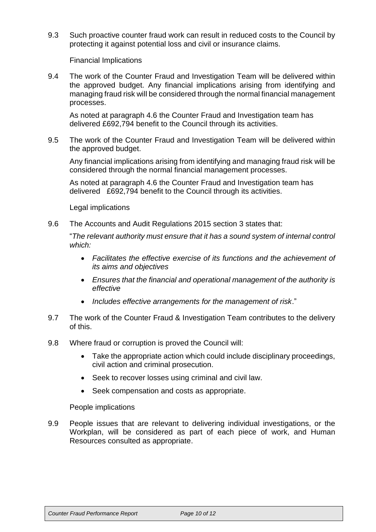9.3 Such proactive counter fraud work can result in reduced costs to the Council by protecting it against potential loss and civil or insurance claims.

Financial Implications

9.4 The work of the Counter Fraud and Investigation Team will be delivered within the approved budget. Any financial implications arising from identifying and managing fraud risk will be considered through the normal financial management processes.

As noted at paragraph 4.6 the Counter Fraud and Investigation team has delivered £692,794 benefit to the Council through its activities.

9.5 The work of the Counter Fraud and Investigation Team will be delivered within the approved budget.

Any financial implications arising from identifying and managing fraud risk will be considered through the normal financial management processes.

As noted at paragraph 4.6 the Counter Fraud and Investigation team has delivered £692,794 benefit to the Council through its activities.

Legal implications

9.6 The Accounts and Audit Regulations 2015 section 3 states that:

"*The relevant authority must ensure that it has a sound system of internal control which:*

- *Facilitates the effective exercise of its functions and the achievement of its aims and objectives*
- *Ensures that the financial and operational management of the authority is effective*
- *Includes effective arrangements for the management of risk*."
- 9.7 The work of the Counter Fraud & Investigation Team contributes to the delivery of this.
- 9.8 Where fraud or corruption is proved the Council will:
	- Take the appropriate action which could include disciplinary proceedings, civil action and criminal prosecution.
	- Seek to recover losses using criminal and civil law.
	- Seek compensation and costs as appropriate.

People implications

9.9 People issues that are relevant to delivering individual investigations, or the Workplan, will be considered as part of each piece of work, and Human Resources consulted as appropriate.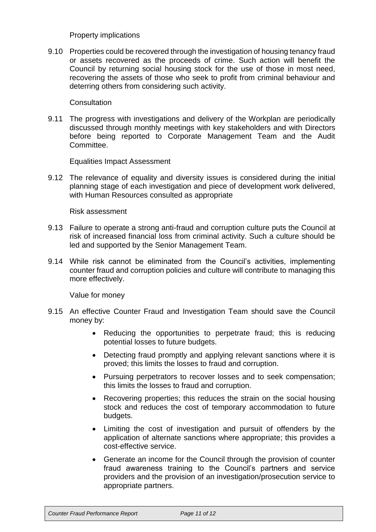#### Property implications

9.10 Properties could be recovered through the investigation of housing tenancy fraud or assets recovered as the proceeds of crime. Such action will benefit the Council by returning social housing stock for the use of those in most need, recovering the assets of those who seek to profit from criminal behaviour and deterring others from considering such activity.

#### **Consultation**

9.11 The progress with investigations and delivery of the Workplan are periodically discussed through monthly meetings with key stakeholders and with Directors before being reported to Corporate Management Team and the Audit Committee.

Equalities Impact Assessment

9.12 The relevance of equality and diversity issues is considered during the initial planning stage of each investigation and piece of development work delivered, with Human Resources consulted as appropriate

Risk assessment

- 9.13 Failure to operate a strong anti-fraud and corruption culture puts the Council at risk of increased financial loss from criminal activity. Such a culture should be led and supported by the Senior Management Team.
- 9.14 While risk cannot be eliminated from the Council's activities, implementing counter fraud and corruption policies and culture will contribute to managing this more effectively.

Value for money

- 9.15 An effective Counter Fraud and Investigation Team should save the Council money by:
	- Reducing the opportunities to perpetrate fraud; this is reducing potential losses to future budgets.
	- Detecting fraud promptly and applying relevant sanctions where it is proved; this limits the losses to fraud and corruption.
	- Pursuing perpetrators to recover losses and to seek compensation; this limits the losses to fraud and corruption.
	- Recovering properties; this reduces the strain on the social housing stock and reduces the cost of temporary accommodation to future budgets.
	- Limiting the cost of investigation and pursuit of offenders by the application of alternate sanctions where appropriate; this provides a cost-effective service.
	- Generate an income for the Council through the provision of counter fraud awareness training to the Council's partners and service providers and the provision of an investigation/prosecution service to appropriate partners.